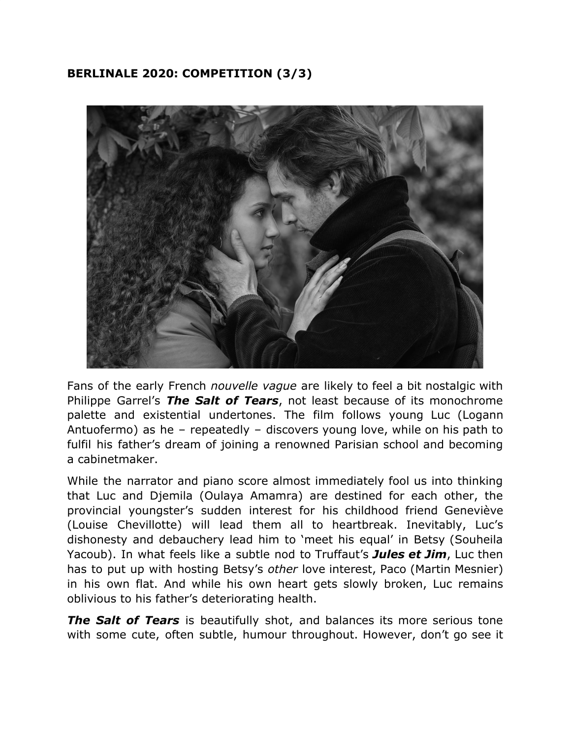## **BERLINALE 2020: COMPETITION (3/3)**



Fans of the early French *nouvelle vague* are likely to feel a bit nostalgic with Philippe Garrel's *The Salt of Tears*, not least because of its monochrome palette and existential undertones. The film follows young Luc (Logann Antuofermo) as he – repeatedly – discovers young love, while on his path to fulfil his father's dream of joining a renowned Parisian school and becoming a cabinetmaker.

While the narrator and piano score almost immediately fool us into thinking that Luc and Djemila (Oulaya Amamra) are destined for each other, the provincial youngster's sudden interest for his childhood friend Geneviève (Louise Chevillotte) will lead them all to heartbreak. Inevitably, Luc's dishonesty and debauchery lead him to 'meet his equal' in Betsy (Souheila Yacoub). In what feels like a subtle nod to Truffaut's *Jules et Jim*, Luc then has to put up with hosting Betsy's *other* love interest, Paco (Martin Mesnier) in his own flat. And while his own heart gets slowly broken, Luc remains oblivious to his father's deteriorating health.

*The Salt of Tears* is beautifully shot, and balances its more serious tone with some cute, often subtle, humour throughout. However, don't go see it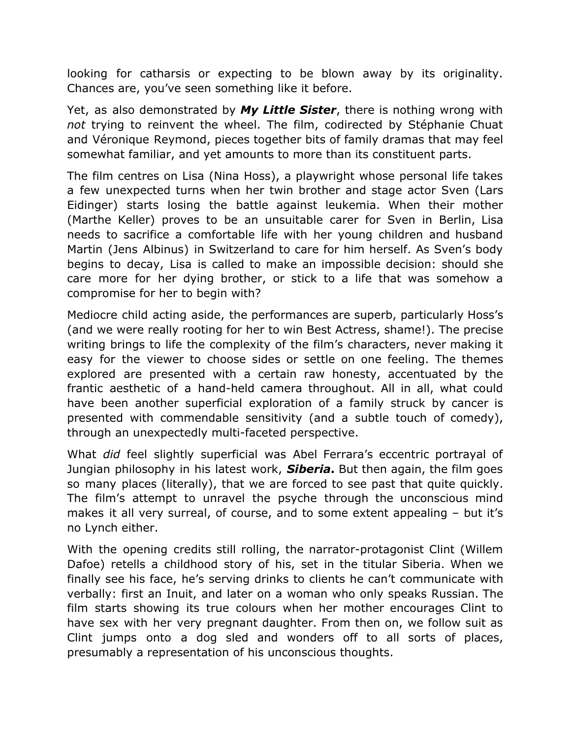looking for catharsis or expecting to be blown away by its originality. Chances are, you've seen something like it before.

Yet, as also demonstrated by *My Little Sister*, there is nothing wrong with *not* trying to reinvent the wheel. The film, codirected by Stéphanie Chuat and Véronique Reymond, pieces together bits of family dramas that may feel somewhat familiar, and yet amounts to more than its constituent parts.

The film centres on Lisa (Nina Hoss), a playwright whose personal life takes a few unexpected turns when her twin brother and stage actor Sven (Lars Eidinger) starts losing the battle against leukemia. When their mother (Marthe Keller) proves to be an unsuitable carer for Sven in Berlin, Lisa needs to sacrifice a comfortable life with her young children and husband Martin (Jens Albinus) in Switzerland to care for him herself. As Sven's body begins to decay, Lisa is called to make an impossible decision: should she care more for her dying brother, or stick to a life that was somehow a compromise for her to begin with?

Mediocre child acting aside, the performances are superb, particularly Hoss's (and we were really rooting for her to win Best Actress, shame!). The precise writing brings to life the complexity of the film's characters, never making it easy for the viewer to choose sides or settle on one feeling. The themes explored are presented with a certain raw honesty, accentuated by the frantic aesthetic of a hand-held camera throughout. All in all, what could have been another superficial exploration of a family struck by cancer is presented with commendable sensitivity (and a subtle touch of comedy), through an unexpectedly multi-faceted perspective.

What *did* feel slightly superficial was Abel Ferrara's eccentric portrayal of Jungian philosophy in his latest work, *Siberia***.** But then again, the film goes so many places (literally), that we are forced to see past that quite quickly. The film's attempt to unravel the psyche through the unconscious mind makes it all very surreal, of course, and to some extent appealing – but it's no Lynch either.

With the opening credits still rolling, the narrator-protagonist Clint (Willem Dafoe) retells a childhood story of his, set in the titular Siberia. When we finally see his face, he's serving drinks to clients he can't communicate with verbally: first an Inuit, and later on a woman who only speaks Russian. The film starts showing its true colours when her mother encourages Clint to have sex with her very pregnant daughter. From then on, we follow suit as Clint jumps onto a dog sled and wonders off to all sorts of places, presumably a representation of his unconscious thoughts.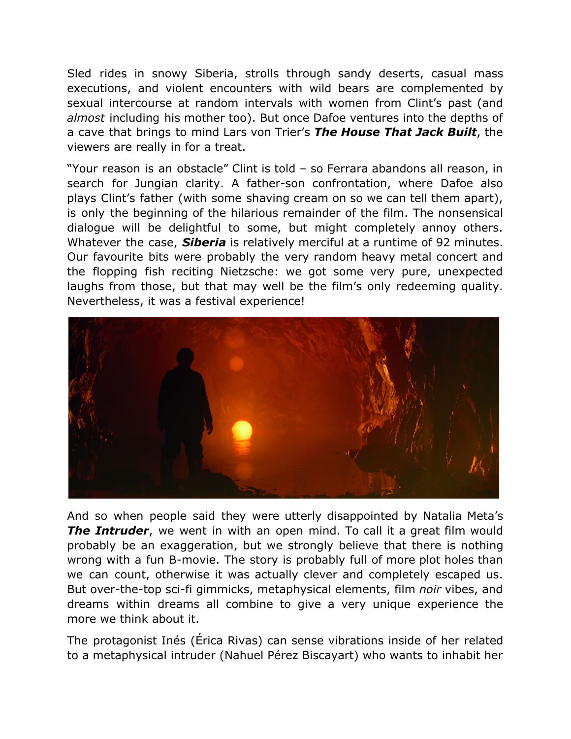Sled rides in snowy Siberia, strolls through sandy deserts, casual mass executions, and violent encounters with wild bears are complemented by sexual intercourse at random intervals with women from Clint's past (and *almost* including his mother too). But once Dafoe ventures into the depths of a cave that brings to mind Lars von Trier's *The House That Jack Built*, the viewers are really in for a treat.

"Your reason is an obstacle" Clint is told – so Ferrara abandons all reason, in search for Jungian clarity. A father-son confrontation, where Dafoe also plays Clint's father (with some shaving cream on so we can tell them apart), is only the beginning of the hilarious remainder of the film. The nonsensical dialogue will be delightful to some, but might completely annoy others. Whatever the case, *Siberia* is relatively merciful at a runtime of 92 minutes. Our favourite bits were probably the very random heavy metal concert and the flopping fish reciting Nietzsche: we got some very pure, unexpected laughs from those, but that may well be the film's only redeeming quality. Nevertheless, it was a festival experience!



And so when people said they were utterly disappointed by Natalia Meta's *The Intruder*, we went in with an open mind. To call it a great film would probably be an exaggeration, but we strongly believe that there is nothing wrong with a fun B-movie. The story is probably full of more plot holes than we can count, otherwise it was actually clever and completely escaped us. But over-the-top sci-fi gimmicks, metaphysical elements, film *noir* vibes, and dreams within dreams all combine to give a very unique experience the more we think about it.

The protagonist Inés (Érica Rivas) can sense vibrations inside of her related to a metaphysical intruder (Nahuel Pérez Biscayart) who wants to inhabit her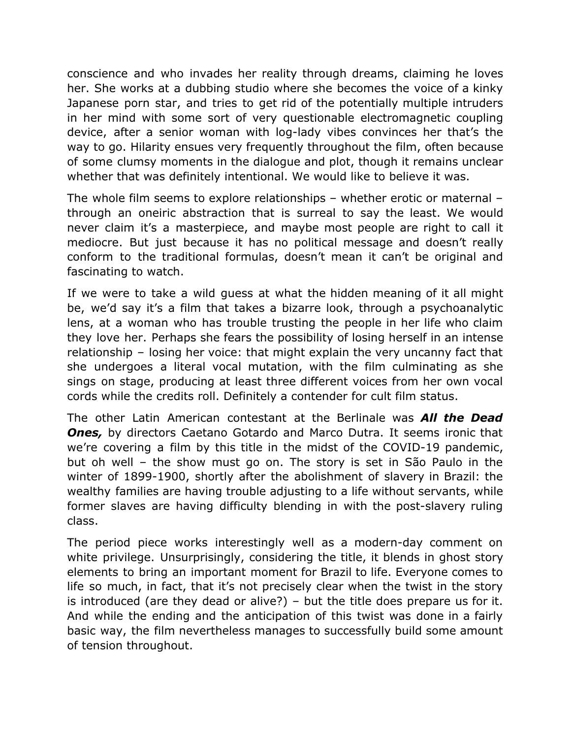conscience and who invades her reality through dreams, claiming he loves her. She works at a dubbing studio where she becomes the voice of a kinky Japanese porn star, and tries to get rid of the potentially multiple intruders in her mind with some sort of very questionable electromagnetic coupling device, after a senior woman with log-lady vibes convinces her that's the way to go. Hilarity ensues very frequently throughout the film, often because of some clumsy moments in the dialogue and plot, though it remains unclear whether that was definitely intentional. We would like to believe it was.

The whole film seems to explore relationships – whether erotic or maternal – through an oneiric abstraction that is surreal to say the least. We would never claim it's a masterpiece, and maybe most people are right to call it mediocre. But just because it has no political message and doesn't really conform to the traditional formulas, doesn't mean it can't be original and fascinating to watch.

If we were to take a wild guess at what the hidden meaning of it all might be, we'd say it's a film that takes a bizarre look, through a psychoanalytic lens, at a woman who has trouble trusting the people in her life who claim they love her. Perhaps she fears the possibility of losing herself in an intense relationship – losing her voice: that might explain the very uncanny fact that she undergoes a literal vocal mutation, with the film culminating as she sings on stage, producing at least three different voices from her own vocal cords while the credits roll. Definitely a contender for cult film status.

The other Latin American contestant at the Berlinale was *All the Dead* **Ones,** by directors Caetano Gotardo and Marco Dutra. It seems ironic that we're covering a film by this title in the midst of the COVID-19 pandemic, but oh well – the show must go on. The story is set in São Paulo in the winter of 1899-1900, shortly after the abolishment of slavery in Brazil: the wealthy families are having trouble adjusting to a life without servants, while former slaves are having difficulty blending in with the post-slavery ruling class.

The period piece works interestingly well as a modern-day comment on white privilege. Unsurprisingly, considering the title, it blends in ghost story elements to bring an important moment for Brazil to life. Everyone comes to life so much, in fact, that it's not precisely clear when the twist in the story is introduced (are they dead or alive?) – but the title does prepare us for it. And while the ending and the anticipation of this twist was done in a fairly basic way, the film nevertheless manages to successfully build some amount of tension throughout.